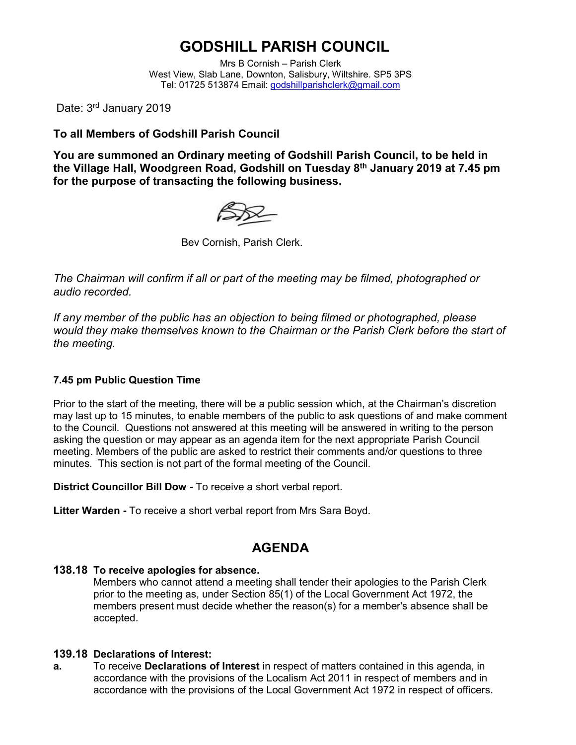# **GODSHILL PARISH COUNCIL**

Mrs B Cornish – Parish Clerk West View, Slab Lane, Downton, Salisbury, Wiltshire. SP5 3PS Tel: 01725 513874 Email: [godshillparishclerk@gmail.com](mailto:godshillparishclerk@gmail.com)

Date: 3<sup>rd</sup> January 2019

#### **To all Members of Godshill Parish Council**

**You are summoned an Ordinary meeting of Godshill Parish Council, to be held in the Village Hall, Woodgreen Road, Godshill on Tuesday 8 th January 2019 at 7.45 pm for the purpose of transacting the following business.**



Bev Cornish, Parish Clerk.

*The Chairman will confirm if all or part of the meeting may be filmed, photographed or audio recorded.*

*If any member of the public has an objection to being filmed or photographed, please would they make themselves known to the Chairman or the Parish Clerk before the start of the meeting.*

#### **7.45 pm Public Question Time**

Prior to the start of the meeting, there will be a public session which, at the Chairman's discretion may last up to 15 minutes, to enable members of the public to ask questions of and make comment to the Council. Questions not answered at this meeting will be answered in writing to the person asking the question or may appear as an agenda item for the next appropriate Parish Council meeting. Members of the public are asked to restrict their comments and/or questions to three minutes. This section is not part of the formal meeting of the Council.

**District Councillor Bill Dow -** To receive a short verbal report.

**Litter Warden -** To receive a short verbal report from Mrs Sara Boyd.

### **AGENDA**

#### **138.18 To receive apologies for absence.**

Members who cannot attend a meeting shall tender their apologies to the Parish Clerk prior to the meeting as, under Section 85(1) of the Local Government Act 1972, the members present must decide whether the reason(s) for a member's absence shall be accepted.

#### **139.18 Declarations of Interest:**

**a.** To receive **Declarations of Interest** in respect of matters contained in this agenda, in accordance with the provisions of the Localism Act 2011 in respect of members and in accordance with the provisions of the Local Government Act 1972 in respect of officers.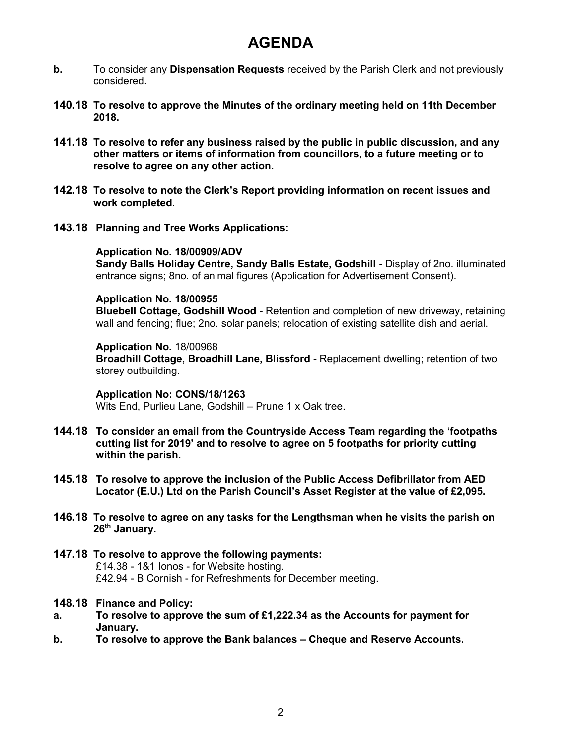## **AGENDA**

- **b.** To consider any **Dispensation Requests** received by the Parish Clerk and not previously considered.
- **140.18 To resolve to approve the Minutes of the ordinary meeting held on 11th December 2018.**
- **141.18 To resolve to refer any business raised by the public in public discussion, and any other matters or items of information from councillors, to a future meeting or to resolve to agree on any other action.**
- **142.18 To resolve to note the Clerk's Report providing information on recent issues and work completed.**
- **143.18 Planning and Tree Works Applications:**

#### **Application No. 18/00909/ADV**

**Sandy Balls Holiday Centre, Sandy Balls Estate, Godshill -** Display of 2no. illuminated entrance signs; 8no. of animal figures (Application for Advertisement Consent).

#### **Application No. 18/00955**

**Bluebell Cottage, Godshill Wood -** Retention and completion of new driveway, retaining wall and fencing; flue; 2no. solar panels; relocation of existing satellite dish and aerial.

#### **Application No.** 18/00968

**Broadhill Cottage, Broadhill Lane, Blissford** - Replacement dwelling; retention of two storey outbuilding.

**Application No: CONS/18/1263**  Wits End, Purlieu Lane, Godshill – Prune 1 x Oak tree.

- **144.18 To consider an email from the Countryside Access Team regarding the 'footpaths cutting list for 2019' and to resolve to agree on 5 footpaths for priority cutting within the parish.**
- **145.18 To resolve to approve the inclusion of the Public Access Defibrillator from AED Locator (E.U.) Ltd on the Parish Council's Asset Register at the value of £2,095.**
- **146.18 To resolve to agree on any tasks for the Lengthsman when he visits the parish on 26th January.**
- **147.18 To resolve to approve the following payments:** £14.38 - 1&1 Ionos - for Website hosting. £42.94 - B Cornish - for Refreshments for December meeting.

#### **148.18 Finance and Policy:**

- **a. To resolve to approve the sum of £1,222.34 as the Accounts for payment for January.**
- **b. To resolve to approve the Bank balances – Cheque and Reserve Accounts.**